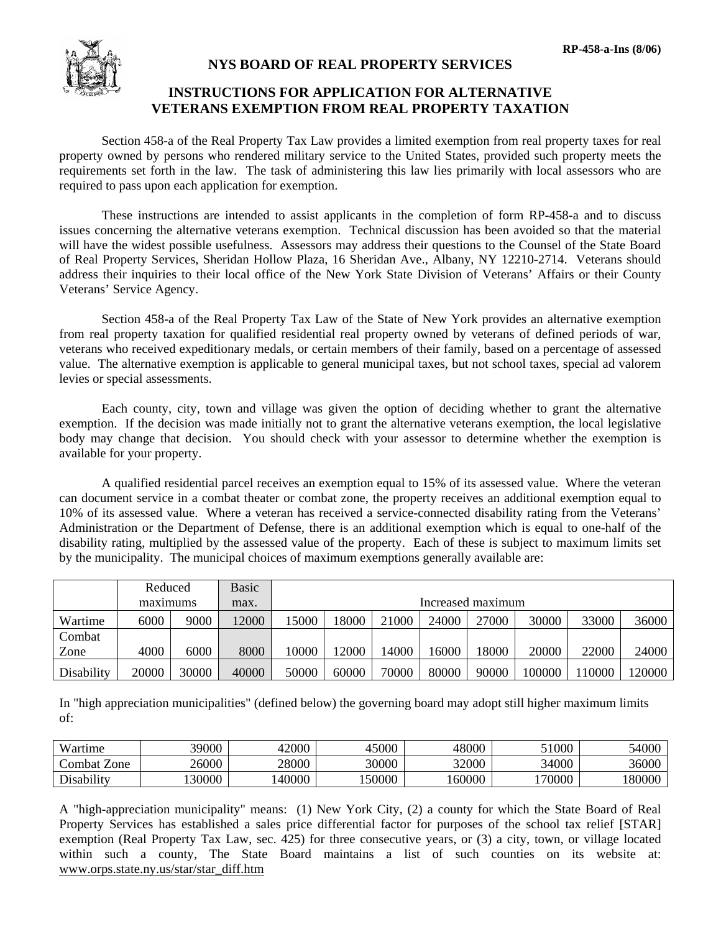

## **NYS BOARD OF REAL PROPERTY SERVICES**

## **INSTRUCTIONS FOR APPLICATION FOR ALTERNATIVE VETERANS EXEMPTION FROM REAL PROPERTY TAXATION**

 Section 458-a of the Real Property Tax Law provides a limited exemption from real property taxes for real property owned by persons who rendered military service to the United States, provided such property meets the requirements set forth in the law. The task of administering this law lies primarily with local assessors who are required to pass upon each application for exemption.

 These instructions are intended to assist applicants in the completion of form RP-458-a and to discuss issues concerning the alternative veterans exemption. Technical discussion has been avoided so that the material will have the widest possible usefulness. Assessors may address their questions to the Counsel of the State Board of Real Property Services, Sheridan Hollow Plaza, 16 Sheridan Ave., Albany, NY 12210-2714. Veterans should address their inquiries to their local office of the New York State Division of Veterans' Affairs or their County Veterans' Service Agency.

 Section 458-a of the Real Property Tax Law of the State of New York provides an alternative exemption from real property taxation for qualified residential real property owned by veterans of defined periods of war, veterans who received expeditionary medals, or certain members of their family, based on a percentage of assessed value. The alternative exemption is applicable to general municipal taxes, but not school taxes, special ad valorem levies or special assessments.

 Each county, city, town and village was given the option of deciding whether to grant the alternative exemption. If the decision was made initially not to grant the alternative veterans exemption, the local legislative body may change that decision. You should check with your assessor to determine whether the exemption is available for your property.

 A qualified residential parcel receives an exemption equal to 15% of its assessed value. Where the veteran can document service in a combat theater or combat zone, the property receives an additional exemption equal to 10% of its assessed value. Where a veteran has received a service-connected disability rating from the Veterans' Administration or the Department of Defense, there is an additional exemption which is equal to one-half of the disability rating, multiplied by the assessed value of the property. Each of these is subject to maximum limits set by the municipality. The municipal choices of maximum exemptions generally available are:

|            | Reduced  |       | <b>Basic</b> |                   |       |       |       |       |        |        |        |
|------------|----------|-------|--------------|-------------------|-------|-------|-------|-------|--------|--------|--------|
|            | maximums |       | max.         | Increased maximum |       |       |       |       |        |        |        |
| Wartime    | 6000     | 9000  | 12000        | 15000             | 18000 | 21000 | 24000 | 27000 | 30000  | 33000  | 36000  |
| Combat     |          |       |              |                   |       |       |       |       |        |        |        |
| Zone       | 4000     | 6000  | 8000         | 10000             | 12000 | 14000 | 16000 | 18000 | 20000  | 22000  | 24000  |
| Disability | 20000    | 30000 | 40000        | 50000             | 60000 | 70000 | 80000 | 90000 | 100000 | 110000 | 120000 |

In "high appreciation municipalities" (defined below) the governing board may adopt still higher maximum limits of:

| Wartime                                    | 39000  | 12000<br>⊶ | 45000 | 48000  | 1000   | 54000  |
|--------------------------------------------|--------|------------|-------|--------|--------|--------|
| –<br>Zone<br>∠ombat ⊺                      | 26000  | 28000      | 30000 | 32000  | 34000  | 36000  |
| 1.111<br>$\mathbf{\cdot}$<br>$D$ isability | 130000 | 40000      | 50000 | 160000 | 170000 | 180000 |

A "high-appreciation municipality" means: (1) New York City, (2) a county for which the State Board of Real Property Services has established a sales price differential factor for purposes of the school tax relief [STAR] exemption (Real Property Tax Law, sec. 425) for three consecutive years, or (3) a city, town, or village located within such a county, The State Board maintains a list of such counties on its website at: www.orps.state.ny.us/star/star\_diff.htm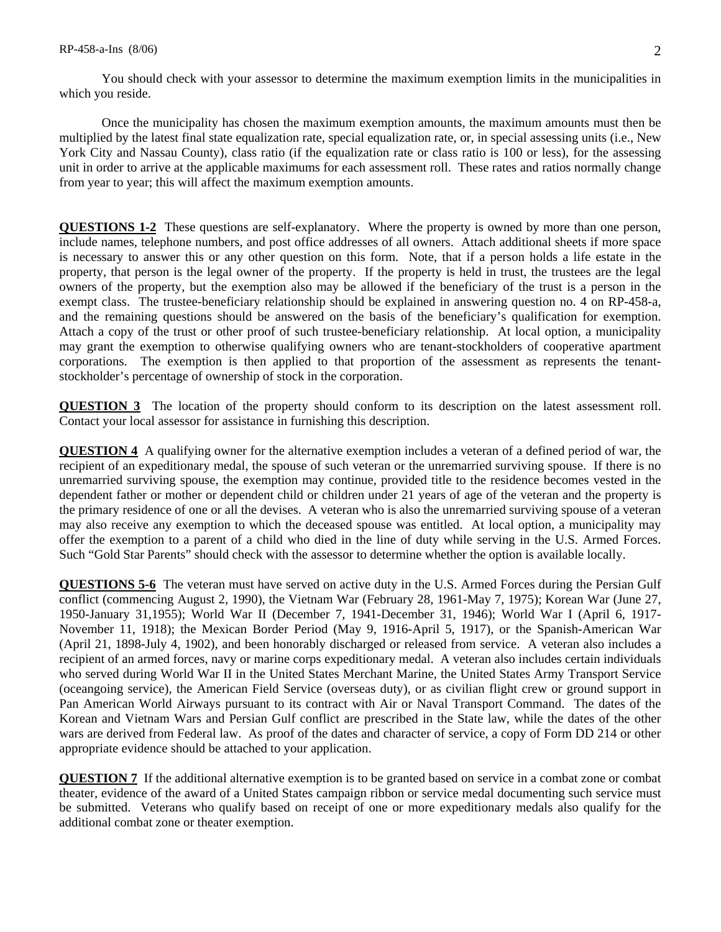You should check with your assessor to determine the maximum exemption limits in the municipalities in which you reside.

 Once the municipality has chosen the maximum exemption amounts, the maximum amounts must then be multiplied by the latest final state equalization rate, special equalization rate, or, in special assessing units (i.e., New York City and Nassau County), class ratio (if the equalization rate or class ratio is 100 or less), for the assessing unit in order to arrive at the applicable maximums for each assessment roll. These rates and ratios normally change from year to year; this will affect the maximum exemption amounts.

**QUESTIONS 1-2** These questions are self-explanatory. Where the property is owned by more than one person, include names, telephone numbers, and post office addresses of all owners. Attach additional sheets if more space is necessary to answer this or any other question on this form. Note, that if a person holds a life estate in the property, that person is the legal owner of the property. If the property is held in trust, the trustees are the legal owners of the property, but the exemption also may be allowed if the beneficiary of the trust is a person in the exempt class. The trustee-beneficiary relationship should be explained in answering question no. 4 on RP-458-a, and the remaining questions should be answered on the basis of the beneficiary's qualification for exemption. Attach a copy of the trust or other proof of such trustee-beneficiary relationship. At local option, a municipality may grant the exemption to otherwise qualifying owners who are tenant-stockholders of cooperative apartment corporations. The exemption is then applied to that proportion of the assessment as represents the tenantstockholder's percentage of ownership of stock in the corporation.

**QUESTION 3** The location of the property should conform to its description on the latest assessment roll. Contact your local assessor for assistance in furnishing this description.

**QUESTION 4** A qualifying owner for the alternative exemption includes a veteran of a defined period of war, the recipient of an expeditionary medal, the spouse of such veteran or the unremarried surviving spouse. If there is no unremarried surviving spouse, the exemption may continue, provided title to the residence becomes vested in the dependent father or mother or dependent child or children under 21 years of age of the veteran and the property is the primary residence of one or all the devises. A veteran who is also the unremarried surviving spouse of a veteran may also receive any exemption to which the deceased spouse was entitled. At local option, a municipality may offer the exemption to a parent of a child who died in the line of duty while serving in the U.S. Armed Forces. Such "Gold Star Parents" should check with the assessor to determine whether the option is available locally.

**QUESTIONS 5-6** The veteran must have served on active duty in the U.S. Armed Forces during the Persian Gulf conflict (commencing August 2, 1990), the Vietnam War (February 28, 1961-May 7, 1975); Korean War (June 27, 1950-January 31,1955); World War II (December 7, 1941-December 31, 1946); World War I (April 6, 1917- November 11, 1918); the Mexican Border Period (May 9, 1916-April 5, 1917), or the Spanish-American War (April 21, 1898-July 4, 1902), and been honorably discharged or released from service. A veteran also includes a recipient of an armed forces, navy or marine corps expeditionary medal. A veteran also includes certain individuals who served during World War II in the United States Merchant Marine, the United States Army Transport Service (oceangoing service), the American Field Service (overseas duty), or as civilian flight crew or ground support in Pan American World Airways pursuant to its contract with Air or Naval Transport Command. The dates of the Korean and Vietnam Wars and Persian Gulf conflict are prescribed in the State law, while the dates of the other wars are derived from Federal law. As proof of the dates and character of service, a copy of Form DD 214 or other appropriate evidence should be attached to your application.

**QUESTION 7** If the additional alternative exemption is to be granted based on service in a combat zone or combat theater, evidence of the award of a United States campaign ribbon or service medal documenting such service must be submitted. Veterans who qualify based on receipt of one or more expeditionary medals also qualify for the additional combat zone or theater exemption.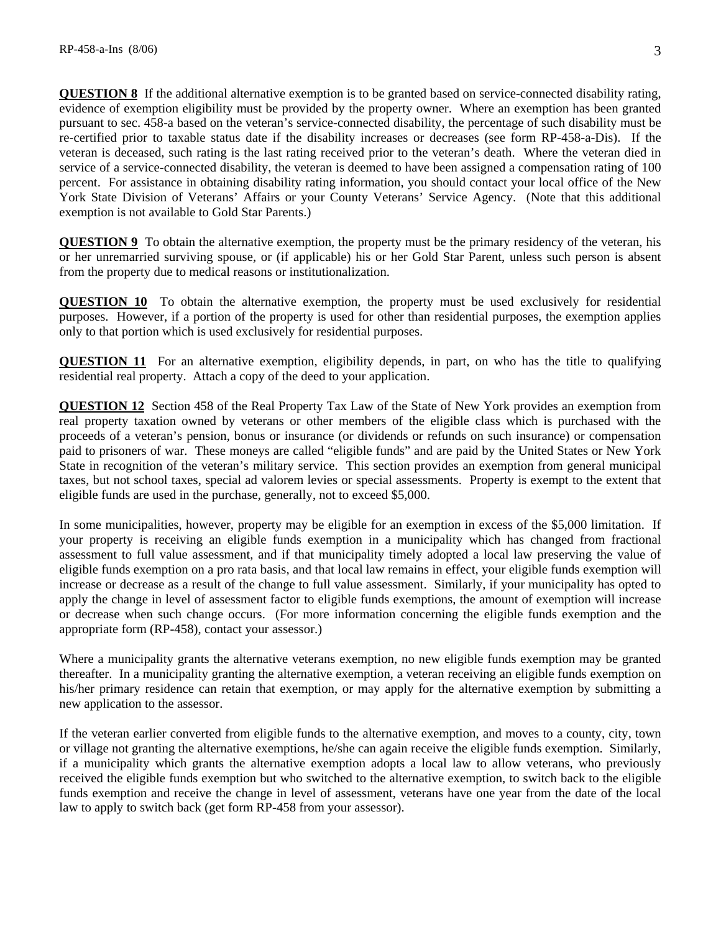**QUESTION 8** If the additional alternative exemption is to be granted based on service-connected disability rating, evidence of exemption eligibility must be provided by the property owner. Where an exemption has been granted pursuant to sec. 458-a based on the veteran's service-connected disability, the percentage of such disability must be re-certified prior to taxable status date if the disability increases or decreases (see form RP-458-a-Dis). If the veteran is deceased, such rating is the last rating received prior to the veteran's death. Where the veteran died in service of a service-connected disability, the veteran is deemed to have been assigned a compensation rating of 100 percent. For assistance in obtaining disability rating information, you should contact your local office of the New York State Division of Veterans' Affairs or your County Veterans' Service Agency. (Note that this additional exemption is not available to Gold Star Parents.)

**QUESTION 9** To obtain the alternative exemption, the property must be the primary residency of the veteran, his or her unremarried surviving spouse, or (if applicable) his or her Gold Star Parent, unless such person is absent from the property due to medical reasons or institutionalization.

**QUESTION 10** To obtain the alternative exemption, the property must be used exclusively for residential purposes. However, if a portion of the property is used for other than residential purposes, the exemption applies only to that portion which is used exclusively for residential purposes.

**QUESTION 11** For an alternative exemption, eligibility depends, in part, on who has the title to qualifying residential real property. Attach a copy of the deed to your application.

**QUESTION 12** Section 458 of the Real Property Tax Law of the State of New York provides an exemption from real property taxation owned by veterans or other members of the eligible class which is purchased with the proceeds of a veteran's pension, bonus or insurance (or dividends or refunds on such insurance) or compensation paid to prisoners of war. These moneys are called "eligible funds" and are paid by the United States or New York State in recognition of the veteran's military service. This section provides an exemption from general municipal taxes, but not school taxes, special ad valorem levies or special assessments. Property is exempt to the extent that eligible funds are used in the purchase, generally, not to exceed \$5,000.

In some municipalities, however, property may be eligible for an exemption in excess of the \$5,000 limitation. If your property is receiving an eligible funds exemption in a municipality which has changed from fractional assessment to full value assessment, and if that municipality timely adopted a local law preserving the value of eligible funds exemption on a pro rata basis, and that local law remains in effect, your eligible funds exemption will increase or decrease as a result of the change to full value assessment. Similarly, if your municipality has opted to apply the change in level of assessment factor to eligible funds exemptions, the amount of exemption will increase or decrease when such change occurs. (For more information concerning the eligible funds exemption and the appropriate form (RP-458), contact your assessor.)

Where a municipality grants the alternative veterans exemption, no new eligible funds exemption may be granted thereafter. In a municipality granting the alternative exemption, a veteran receiving an eligible funds exemption on his/her primary residence can retain that exemption, or may apply for the alternative exemption by submitting a new application to the assessor.

If the veteran earlier converted from eligible funds to the alternative exemption, and moves to a county, city, town or village not granting the alternative exemptions, he/she can again receive the eligible funds exemption. Similarly, if a municipality which grants the alternative exemption adopts a local law to allow veterans, who previously received the eligible funds exemption but who switched to the alternative exemption, to switch back to the eligible funds exemption and receive the change in level of assessment, veterans have one year from the date of the local law to apply to switch back (get form RP-458 from your assessor).